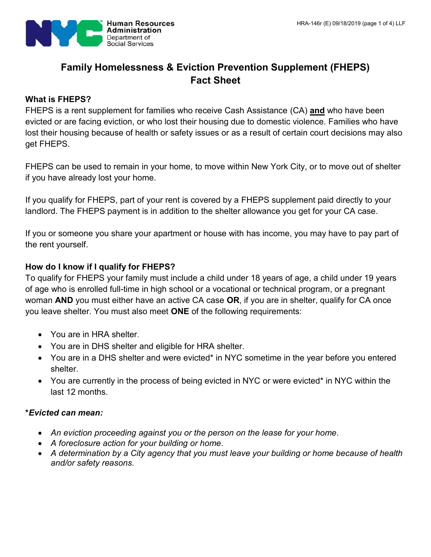

# **Family Homelessness & Eviction Prevention Supplement (FHEPS) Fact Sheet**

# **What is FHEPS?**

FHEPS is a rent supplement for families who receive Cash Assistance (CA) **and** who have been evicted or are facing eviction, or who lost their housing due to domestic violence. Families who have lost their housing because of health or safety issues or as a result of certain court decisions may also get FHEPS.

FHEPS can be used to remain in your home, to move within New York City, or to move out of shelter if you have already lost your home.

If you qualify for FHEPS, part of your rent is covered by a FHEPS supplement paid directly to your landlord. The FHEPS payment is in addition to the shelter allowance you get for your CA case.

If you or someone you share your apartment or house with has income, you may have to pay part of the rent yourself.

# **How do I know if I qualify for FHEPS?**

To qualify for FHEPS your family must include a child under 18 years of age, a child under 19 years of age who is enrolled full-time in high school or a vocational or technical program, or a pregnant woman **AND** you must either have an active CA case **OR**, if you are in shelter, qualify for CA once you leave shelter. You must also meet **ONE** of the following requirements:

- You are in HRA shelter.
- You are in DHS shelter and eligible for HRA shelter.
- You are in a DHS shelter and were evicted\* in NYC sometime in the year before you entered shelter.
- You are currently in the process of being evicted in NYC or were evicted\* in NYC within the last 12 months.

#### **\****Evicted can mean:*

- *An eviction proceeding against you or the person on the lease for your home.*
- *A foreclosure action for your building or home.*
- *A determination by a City agency that you must leave your building or home because of health and/or safety reasons.*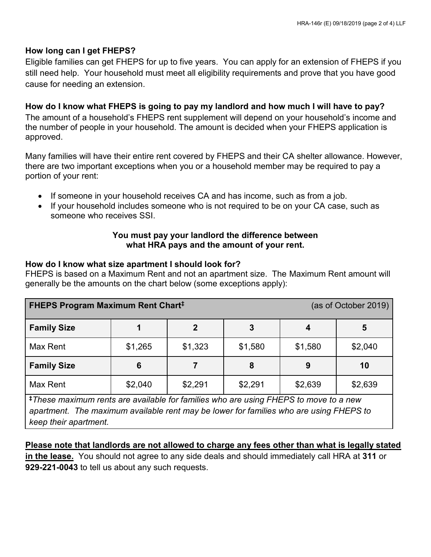# **How long can I get FHEPS?**

Eligible families can get FHEPS for up to five years. You can apply for an extension of FHEPS if you still need help. Your household must meet all eligibility requirements and prove that you have good cause for needing an extension.

# **How do I know what FHEPS is going to pay my landlord and how much I will have to pay?**

The amount of a household's FHEPS rent supplement will depend on your household's income and the number of people in your household. The amount is decided when your FHEPS application is approved.

Many families will have their entire rent covered by FHEPS and their CA shelter allowance. However, there are two important exceptions when you or a household member may be required to pay a portion of your rent:

- If someone in your household receives CA and has income, such as from a job.
- If your household includes someone who is not required to be on your CA case, such as someone who receives SSI.

# **You must pay your landlord the difference between what HRA pays and the amount of your rent.**

#### **How do I know what size apartment I should look for?**

FHEPS is based on a Maximum Rent and not an apartment size. The Maximum Rent amount will generally be the amounts on the chart below (some exceptions apply):

| <b>FHEPS Program Maximum Rent Chart<sup>‡</sup></b> |         |         |         | (as of October 2019) |         |
|-----------------------------------------------------|---------|---------|---------|----------------------|---------|
| <b>Family Size</b>                                  |         | 2       | 3       |                      | 5       |
| Max Rent                                            | \$1,265 | \$1,323 | \$1,580 | \$1,580              | \$2,040 |
| <b>Family Size</b>                                  | 6       |         | 8       | 9                    | 10      |
| Max Rent                                            | \$2,040 | \$2,291 | \$2,291 | \$2,639              | \$2,639 |

**‡***These maximum rents are available for families who are using FHEPS to move to a new apartment. The maximum available rent may be lower for families who are using FHEPS to keep their apartment.*

# **Please note that landlords are not allowed to charge any fees other than what is legally stated**

**in the lease.** You should not agree to any side deals and should immediately call HRA at **311** or **929-221-0043** to tell us about any such requests.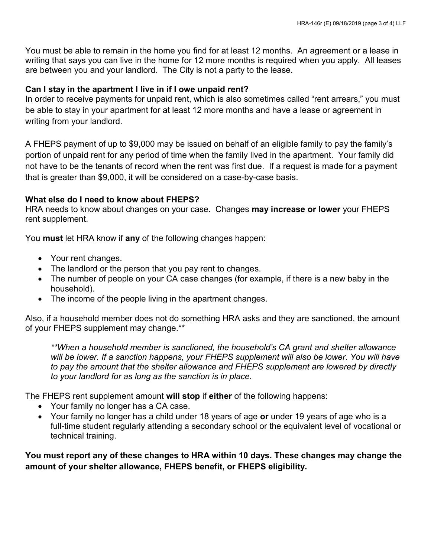You must be able to remain in the home you find for at least 12 months. An agreement or a lease in writing that says you can live in the home for 12 more months is required when you apply. All leases are between you and your landlord. The City is not a party to the lease.

#### **Can I stay in the apartment I live in if I owe unpaid rent?**

In order to receive payments for unpaid rent, which is also sometimes called "rent arrears," you must be able to stay in your apartment for at least 12 more months and have a lease or agreement in writing from your landlord.

A FHEPS payment of up to \$9,000 may be issued on behalf of an eligible family to pay the family's portion of unpaid rent for any period of time when the family lived in the apartment. Your family did not have to be the tenants of record when the rent was first due. If a request is made for a payment that is greater than \$9,000, it will be considered on a case-by-case basis.

# **What else do I need to know about FHEPS?**

HRA needs to know about changes on your case. Changes **may increase or lower** your FHEPS rent supplement.

You **must** let HRA know if **any** of the following changes happen:

- Your rent changes.
- The landlord or the person that you pay rent to changes.
- The number of people on your CA case changes (for example, if there is a new baby in the household).
- The income of the people living in the apartment changes.

Also, if a household member does not do something HRA asks and they are sanctioned, the amount of your FHEPS supplement may change.\*\*

*\*\*When a household member is sanctioned, the household's CA grant and shelter allowance will be lower. If a sanction happens, your FHEPS supplement will also be lower. You will have to pay the amount that the shelter allowance and FHEPS supplement are lowered by directly to your landlord for as long as the sanction is in place.*

The FHEPS rent supplement amount **will stop** if **either** of the following happens:

- Your family no longer has a CA case.
- Your family no longer has a child under 18 years of age **or** under 19 years of age who is a full-time student regularly attending a secondary school or the equivalent level of vocational or technical training.

**You must report any of these changes to HRA within 10 days. These changes may change the amount of your shelter allowance, FHEPS benefit, or FHEPS eligibility.**